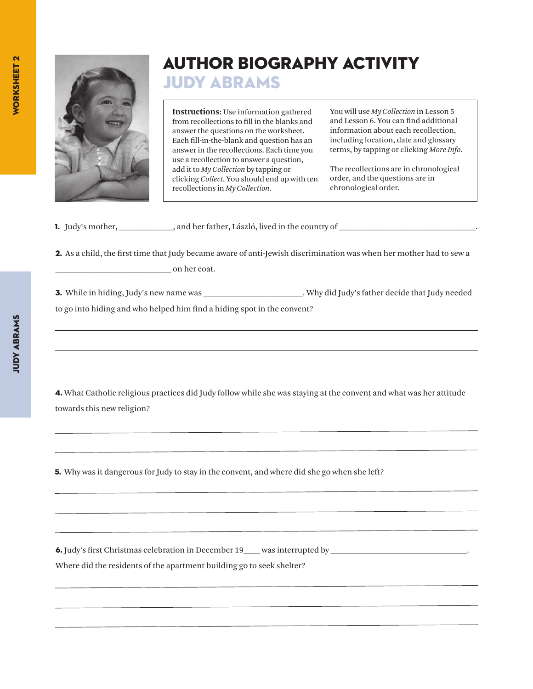

## Author Biography Activity

Judy Abrams

**Instructions:** Use information gathered from recollections to fill in the blanks and answer the questions on the worksheet. Each fill-in-the-blank and question has an answer in the recollections. Each time you use a recollection to answer a question, add it to *My Collection* by tapping or clicking *Collect.* You should end up with ten recollections in *My Collection.*

You will use *My Collection* in Lesson 5 and Lesson 6. You can find additional information about each recollection, including location, date and glossary terms, by tapping or clicking *More Info*.

The recollections are in chronological order, and the questions are in chronological order.

1. Judy's mother, \_\_\_\_\_\_\_\_\_\_, and her father, László, lived in the country of \_\_\_\_\_\_\_\_\_\_\_\_\_\_\_\_\_\_\_\_\_\_\_\_\_\_\_\_\_\_.

2. As a child, the first time that Judy became aware of anti-Jewish discrimination was when her mother had to sew a on her coat.

3. While in hiding, Judy's new name was <br>3. Why did Judy's father decide that Judy needed to go into hiding and who helped him find a hiding spot in the convent?

4. What Catholic religious practices did Judy follow while she was staying at the convent and what was her attitude towards this new religion?

**5.** Why was it dangerous for Judy to stay in the convent, and where did she go when she left?

6. Judy's first Christmas celebration in December 19\_\_\_\_ was interrupted by \_\_\_\_\_\_\_\_\_\_\_\_\_\_\_\_\_\_\_\_\_\_\_\_\_\_\_\_\_\_\_\_\_. Where did the residents of the apartment building go to seek shelter?